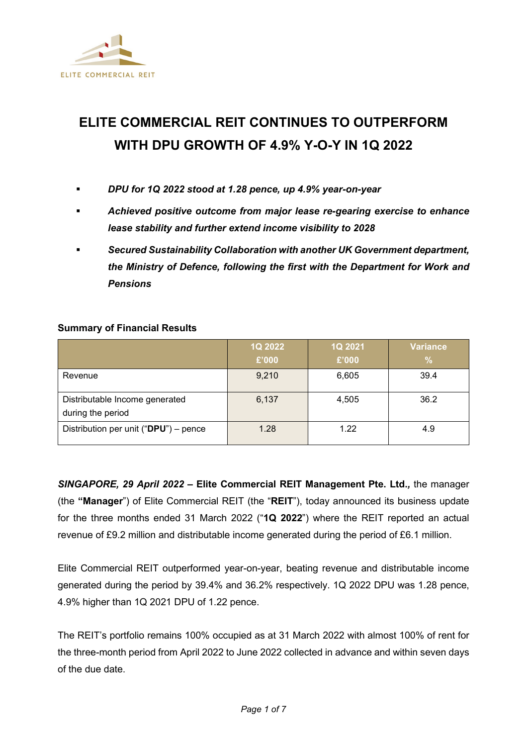

# **ELITE COMMERCIAL REIT CONTINUES TO OUTPERFORM WITH DPU GROWTH OF 4.9% Y-O-Y IN 1Q 2022**

- *DPU for 1Q 2022 stood at 1.28 pence, up 4.9% year-on-year*
- *Achieved positive outcome from major lease re-gearing exercise to enhance lease stability and further extend income visibility to 2028*
- *Secured Sustainability Collaboration with another UK Government department, the Ministry of Defence, following the first with the Department for Work and Pensions*

### **Summary of Financial Results**

|                                                     | 1Q 2022 | 1Q 2021 | <b>Variance</b> |
|-----------------------------------------------------|---------|---------|-----------------|
|                                                     | £'000   | £'000   | %               |
| Revenue                                             | 9,210   | 6,605   | 39.4            |
| Distributable Income generated<br>during the period | 6,137   | 4,505   | 36.2            |
| Distribution per unit (" $DPU$ ") – pence           | 1.28    | 1.22    | 4.9             |

*SINGAPORE, 29 April 2022 –* **Elite Commercial REIT Management Pte. Ltd.***,* the manager (the **"Manager**") of Elite Commercial REIT (the "**REIT**"), today announced its business update for the three months ended 31 March 2022 ("**1Q 2022**") where the REIT reported an actual revenue of £9.2 million and distributable income generated during the period of £6.1 million.

Elite Commercial REIT outperformed year-on-year, beating revenue and distributable income generated during the period by 39.4% and 36.2% respectively. 1Q 2022 DPU was 1.28 pence, 4.9% higher than 1Q 2021 DPU of 1.22 pence.

The REIT's portfolio remains 100% occupied as at 31 March 2022 with almost 100% of rent for the three-month period from April 2022 to June 2022 collected in advance and within seven days of the due date.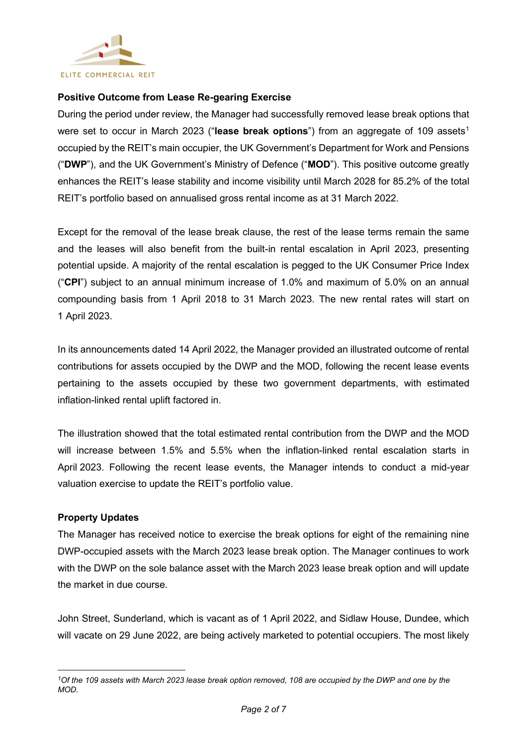

#### **Positive Outcome from Lease Re-gearing Exercise**

During the period under review, the Manager had successfully removed lease break options that were set to occur in March 2023 ("lease break options") from an aggregate of [1](#page-1-0)09 assets<sup>1</sup> occupied by the REIT's main occupier, the UK Government's Department for Work and Pensions ("**DWP**"), and the UK Government's Ministry of Defence ("**MOD**"). This positive outcome greatly enhances the REIT's lease stability and income visibility until March 2028 for 85.2% of the total REIT's portfolio based on annualised gross rental income as at 31 March 2022.

Except for the removal of the lease break clause, the rest of the lease terms remain the same and the leases will also benefit from the built-in rental escalation in April 2023, presenting potential upside. A majority of the rental escalation is pegged to the UK Consumer Price Index ("**CPI**") subject to an annual minimum increase of 1.0% and maximum of 5.0% on an annual compounding basis from 1 April 2018 to 31 March 2023. The new rental rates will start on 1 April 2023.

In its announcements dated 14 April 2022, the Manager provided an illustrated outcome of rental contributions for assets occupied by the DWP and the MOD, following the recent lease events pertaining to the assets occupied by these two government departments, with estimated inflation-linked rental uplift factored in.

The illustration showed that the total estimated rental contribution from the DWP and the MOD will increase between 1.5% and 5.5% when the inflation-linked rental escalation starts in April 2023. Following the recent lease events, the Manager intends to conduct a mid-year valuation exercise to update the REIT's portfolio value.

#### **Property Updates**

The Manager has received notice to exercise the break options for eight of the remaining nine DWP-occupied assets with the March 2023 lease break option. The Manager continues to work with the DWP on the sole balance asset with the March 2023 lease break option and will update the market in due course.

John Street, Sunderland, which is vacant as of 1 April 2022, and Sidlaw House, Dundee, which will vacate on 29 June 2022, are being actively marketed to potential occupiers. The most likely

<span id="page-1-0"></span>*<sup>1</sup>Of the 109 assets with March 2023 lease break option removed, 108 are occupied by the DWP and one by the MOD.*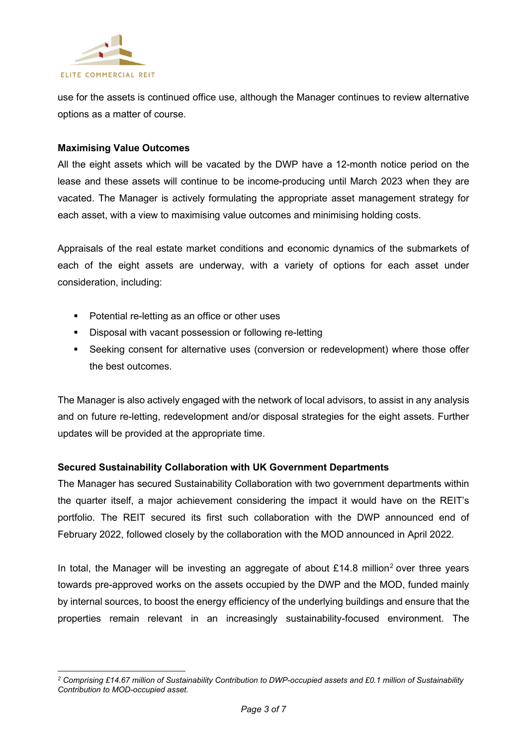

use for the assets is continued office use, although the Manager continues to review alternative options as a matter of course.

#### **Maximising Value Outcomes**

All the eight assets which will be vacated by the DWP have a 12-month notice period on the lease and these assets will continue to be income-producing until March 2023 when they are vacated. The Manager is actively formulating the appropriate asset management strategy for each asset, with a view to maximising value outcomes and minimising holding costs.

Appraisals of the real estate market conditions and economic dynamics of the submarkets of each of the eight assets are underway, with a variety of options for each asset under consideration, including:

- Potential re-letting as an office or other uses
- **Disposal with vacant possession or following re-letting**
- Seeking consent for alternative uses (conversion or redevelopment) where those offer the best outcomes.

The Manager is also actively engaged with the network of local advisors, to assist in any analysis and on future re-letting, redevelopment and/or disposal strategies for the eight assets. Further updates will be provided at the appropriate time.

#### **Secured Sustainability Collaboration with UK Government Departments**

The Manager has secured Sustainability Collaboration with two government departments within the quarter itself, a major achievement considering the impact it would have on the REIT's portfolio. The REIT secured its first such collaboration with the DWP announced end of February 2022, followed closely by the collaboration with the MOD announced in April 2022.

In total, the Manager will be investing an aggregate of about  $£14.8$  million<sup>[2](#page-2-0)</sup> over three years towards pre-approved works on the assets occupied by the DWP and the MOD, funded mainly by internal sources, to boost the energy efficiency of the underlying buildings and ensure that the properties remain relevant in an increasingly sustainability-focused environment. The

<span id="page-2-0"></span>*<sup>2</sup> Comprising £14.67 million of Sustainability Contribution to DWP-occupied assets and £0.1 million of Sustainability Contribution to MOD-occupied asset.*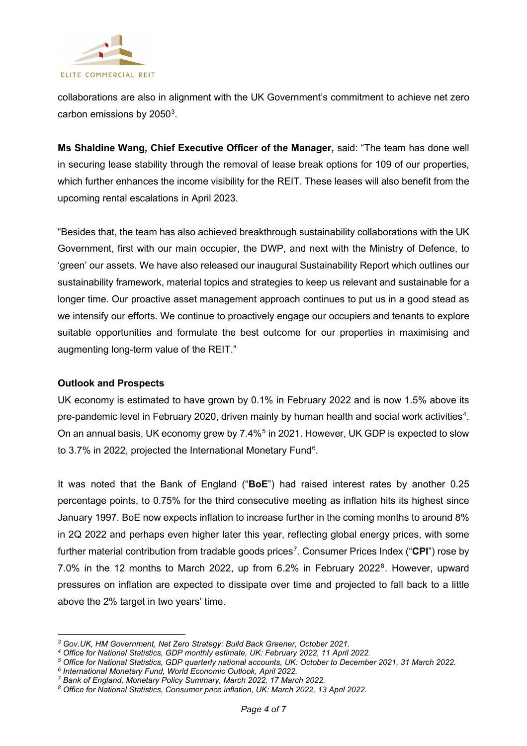

collaborations are also in alignment with the UK Government's commitment to achieve net zero carbon emissions by 2050 $^3$  $^3$ .

**Ms Shaldine Wang, Chief Executive Officer of the Manager,** said: "The team has done well in securing lease stability through the removal of lease break options for 109 of our properties, which further enhances the income visibility for the REIT. These leases will also benefit from the upcoming rental escalations in April 2023.

"Besides that, the team has also achieved breakthrough sustainability collaborations with the UK Government, first with our main occupier, the DWP, and next with the Ministry of Defence, to 'green' our assets. We have also released our inaugural Sustainability Report which outlines our sustainability framework, material topics and strategies to keep us relevant and sustainable for a longer time. Our proactive asset management approach continues to put us in a good stead as we intensify our efforts. We continue to proactively engage our occupiers and tenants to explore suitable opportunities and formulate the best outcome for our properties in maximising and augmenting long-term value of the REIT."

#### **Outlook and Prospects**

UK economy is estimated to have grown by 0.1% in February 2022 and is now 1.5% above its pre-pandemic level in February 2020, driven mainly by human health and social work activities $^4$  $^4$ . On an annual basis, UK economy grew by 7.4%<sup>[5](#page-3-2)</sup> in 2021. However, UK GDP is expected to slow to 3.7% in 2022, projected the International Monetary Fund $^6$ .

It was noted that the Bank of England ("**BoE**") had raised interest rates by another 0.25 percentage points, to 0.75% for the third consecutive meeting as inflation hits its highest since January 1997. BoE now expects inflation to increase further in the coming months to around 8% in 2Q 2022 and perhaps even higher later this year, reflecting global energy prices, with some further material contribution from tradable goods prices[7](#page-3-4) . Consumer Prices Index ("**CPI**") rose by 7.0% in the 12 months to March 2022, up from 6.2% in February 2022<sup>[8](#page-3-5)</sup>. However, upward pressures on inflation are expected to dissipate over time and projected to fall back to a little above the 2% target in two years' time.

<span id="page-3-0"></span>*<sup>3</sup> Gov.UK, HM Government, Net Zero Strategy: Build Back Greener, October 2021.*

<span id="page-3-1"></span>*<sup>4</sup> Office for National Statistics, GDP monthly estimate, UK: February 2022, 11 April 2022.*

<span id="page-3-2"></span>*<sup>5</sup> Office for National Statistics, GDP quarterly national accounts, UK: October to December 2021, 31 March 2022.*

<span id="page-3-3"></span>*<sup>6</sup> International Monetary Fund, World Economic Outlook, April 2022.*

<span id="page-3-5"></span><span id="page-3-4"></span>*<sup>7</sup> Bank of England, Monetary Policy Summary, March 2022, 17 March 2022.*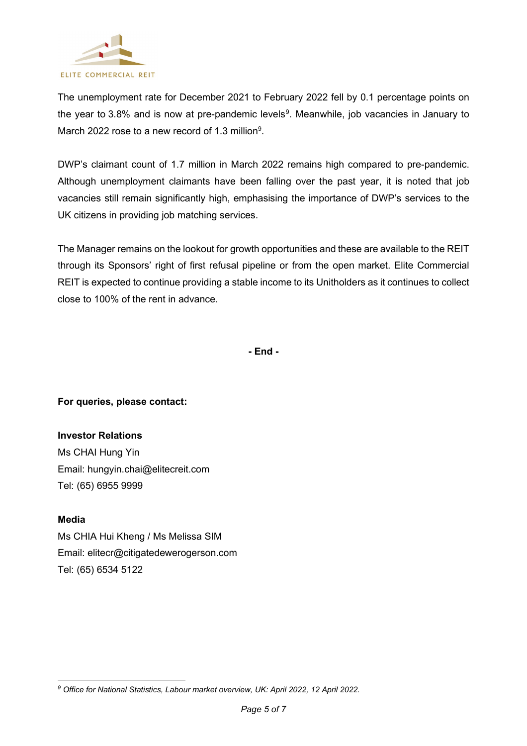

The unemployment rate for December 2021 to February 2022 fell by 0.1 percentage points on the year to 3.8% and is now at pre-pandemic levels<sup>[9](#page-4-0)</sup>. Meanwhile, job vacancies in January to March 2022 rose to a new record of 1.3 million $9$ .

DWP's claimant count of 1.7 million in March 2022 remains high compared to pre-pandemic. Although unemployment claimants have been falling over the past year, it is noted that job vacancies still remain significantly high, emphasising the importance of DWP's services to the UK citizens in providing job matching services.

The Manager remains on the lookout for growth opportunities and these are available to the REIT through its Sponsors' right of first refusal pipeline or from the open market. Elite Commercial REIT is expected to continue providing a stable income to its Unitholders as it continues to collect close to 100% of the rent in advance.

**- End -**

**For queries, please contact:** 

**Investor Relations**  Ms CHAI Hung Yin Email: hungyin.chai@elitecreit.com Tel: (65) 6955 9999

**Media**  Ms CHIA Hui Kheng / Ms Melissa SIM Email: elitecr@citigatedewerogerson.com Tel: (65) 6534 5122

<span id="page-4-0"></span>*<sup>9</sup> Office for National Statistics, Labour market overview, UK: April 2022, 12 April 2022.*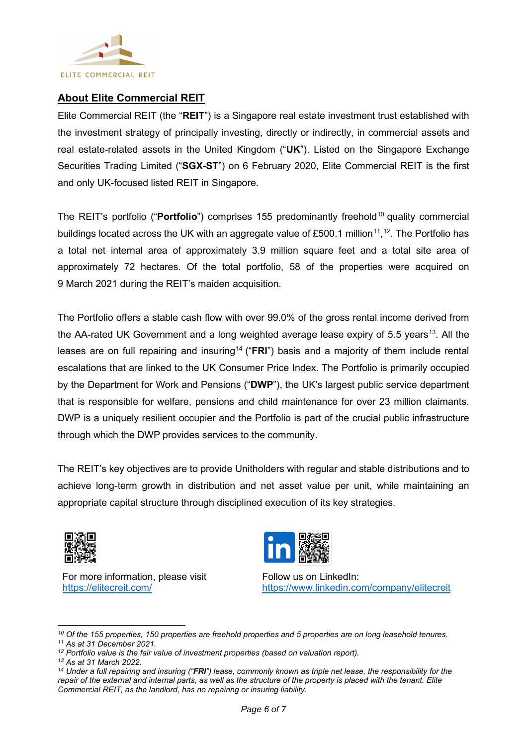

## **About Elite Commercial REIT**

Elite Commercial REIT (the "**REIT**") is a Singapore real estate investment trust established with the investment strategy of principally investing, directly or indirectly, in commercial assets and real estate-related assets in the United Kingdom ("**UK**"). Listed on the Singapore Exchange Securities Trading Limited ("**SGX-ST**") on 6 February 2020, Elite Commercial REIT is the first and only UK-focused listed REIT in Singapore.

The REIT's portfolio ("**Portfolio**") comprises 155 predominantly freehold<sup>[10](#page-5-0)</sup> quality commercial buildings located across the UK with an aggregate value of £500.1 million $^{\text{11}},^{\text{12}}$  $^{\text{11}},^{\text{12}}$  $^{\text{11}},^{\text{12}}$ . The Portfolio has a total net internal area of approximately 3.9 million square feet and a total site area of approximately 72 hectares. Of the total portfolio, 58 of the properties were acquired on 9 March 2021 during the REIT's maiden acquisition.

The Portfolio offers a stable cash flow with over 99.0% of the gross rental income derived from the AA-rated UK Government and a long weighted average lease expiry of 5.5 years<sup>13</sup>. All the leases are on full repairing and insuring<sup>[14](#page-5-4)</sup> ("FRI") basis and a majority of them include rental escalations that are linked to the UK Consumer Price Index. The Portfolio is primarily occupied by the Department for Work and Pensions ("**DWP**"), the UK's largest public service department that is responsible for welfare, pensions and child maintenance for over 23 million claimants. DWP is a uniquely resilient occupier and the Portfolio is part of the crucial public infrastructure through which the DWP provides services to the community.

The REIT's key objectives are to provide Unitholders with regular and stable distributions and to achieve long-term growth in distribution and net asset value per unit, while maintaining an appropriate capital structure through disciplined execution of its key strategies.



For more information, please visit <https://elitecreit.com/>



Follow us on LinkedIn: <https://www.linkedin.com/company/elitecreit>

<span id="page-5-3"></span>*<sup>13</sup> As at 31 March 2022.*

<span id="page-5-0"></span>*<sup>10</sup> Of the 155 properties, 150 properties are freehold properties and 5 properties are on long leasehold tenures.*

<span id="page-5-1"></span>*<sup>11</sup> As at 31 December 2021.*

<span id="page-5-2"></span>*<sup>12</sup> Portfolio value is the fair value of investment properties (based on valuation report).*

<span id="page-5-4"></span>*<sup>14</sup> Under a full repairing and insuring ("FRI") lease, commonly known as triple net lease, the responsibility for the*  repair of the external and internal parts, as well as the structure of the property is placed with the tenant. Elite *Commercial REIT, as the landlord, has no repairing or insuring liability.*